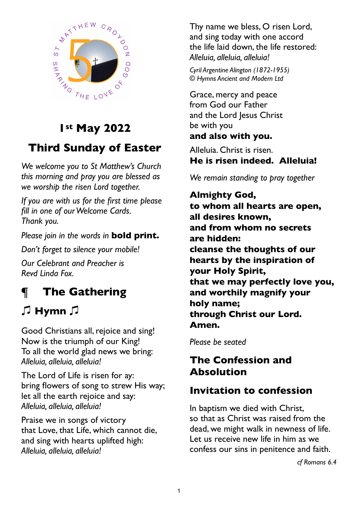

# **1st May 2022**

# **Third Sunday of Easter**

*We welcome you to St Matthew's Church this morning and pray you are blessed as we worship the risen Lord together.* 

*If you are with us for the first time please fill in one of our Welcome Cards. Thank you.* 

*Please join in the words in* **bold print.** 

*Don't forget to silence your mobile!*

*Our Celebrant and Preacher is Revd Linda Fox.*

# **¶ The Gathering**

# 㽈 **Hymn** 㽈

Good Christians all, rejoice and sing! Now is the triumph of our King! To all the world glad news we bring: *Alleluia, alleluia, alleluia!*

The Lord of Life is risen for ay: bring flowers of song to strew His way; let all the earth rejoice and say: *Alleluia, alleluia, alleluia!*

Praise we in songs of victory that Love, that Life, which cannot die, and sing with hearts uplifted high: *Alleluia, alleluia, alleluia!*

Thy name we bless, O risen Lord, and sing today with one accord the life laid down, the life restored: *Alleluia, alleluia, alleluia!*

*Cyril Argentine Alington (1872-1955) © Hymns Ancient and Modern Ltd*

Grace, mercy and peace from God our Father and the Lord Jesus Christ be with you

## **and also with you.**

Alleluia. Christ is risen. **He is risen indeed. Alleluia!**

*We remain standing to pray together*

**Almighty God, to whom all hearts are open, all desires known, and from whom no secrets are hidden: cleanse the thoughts of our hearts by the inspiration of your Holy Spirit, that we may perfectly love you, and worthily magnify your holy name; through Christ our Lord. Amen.**

*Please be seated*

# **The Confession and Absolution**

# **Invitation to confession**

In baptism we died with Christ, so that as Christ was raised from the dead, we might walk in newness of life. Let us receive new life in him as we confess our sins in penitence and faith.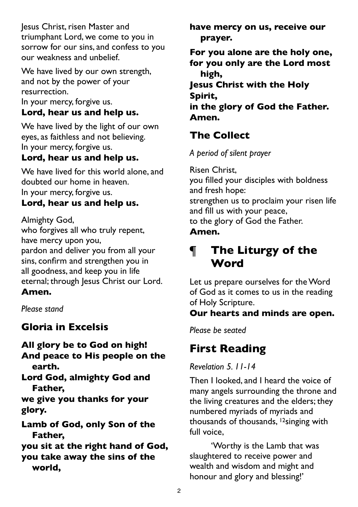Jesus Christ, risen Master and triumphant Lord, we come to you in sorrow for our sins, and confess to you our weakness and unbelief.

We have lived by our own strength, and not by the power of your resurrection.

In your mercy, forgive us.

## **Lord, hear us and help us.**

We have lived by the light of our own eyes, as faithless and not believing. In your mercy, forgive us.

## **Lord, hear us and help us.**

We have lived for this world alone, and doubted our home in heaven. In your mercy, forgive us.

## **Lord, hear us and help us.**

Almighty God,

who forgives all who truly repent, have mercy upon you, pardon and deliver you from all your

sins, confirm and strengthen you in all goodness, and keep you in life eternal; through Jesus Christ our Lord.

## **Amen.**

*Please stand* 

## **Gloria in Excelsis**

**All glory be to God on high! And peace to His people on the earth.**

**Lord God, almighty God and Father,**

**we give you thanks for your glory.**

**Lamb of God, only Son of the Father,**

**you sit at the right hand of God, you take away the sins of the world,**

**have mercy on us, receive our prayer.**

**For you alone are the holy one, for you only are the Lord most high,**

**Jesus Christ with the Holy Spirit, in the glory of God the Father. Amen.**

# **The Collect**

*A period of silent prayer*

Risen Christ, you filled your disciples with boldness and fresh hope: strengthen us to proclaim your risen life and fill us with your peace, to the glory of God the Father. **Amen.**

# **¶ The Liturgy of the Word**

Let us prepare ourselves for the Word of God as it comes to us in the reading of Holy Scripture.

## **Our hearts and minds are open.**

*Please be seated*

# **First Reading**

*Revelation 5. 11-14*

Then I looked, and I heard the voice of many angels surrounding the throne and the living creatures and the elders; they numbered myriads of myriads and thousands of thousands, 12singing with full voice,

'Worthy is the Lamb that was slaughtered to receive power and wealth and wisdom and might and honour and glory and blessing!'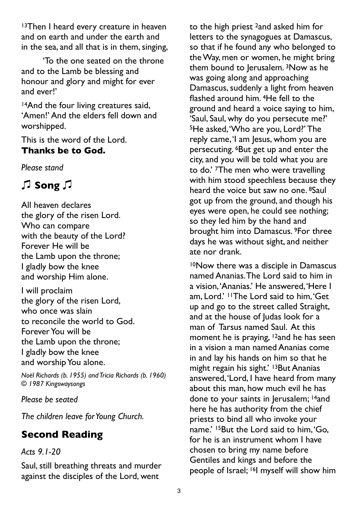<sup>13</sup>Then I heard every creature in heaven and on earth and under the earth and in the sea, and all that is in them, singing,

'To the one seated on the throne and to the Lamb be blessing and honour and glory and might for ever and ever!'

14And the four living creatures said, 'Amen!' And the elders fell down and worshipped.

This is the word of the Lord. **Thanks be to God.**

*Please stand* 

# 㽈 **Song** 㽈

All heaven declares the glory of the risen Lord. Who can compare with the beauty of the Lord? Forever He will be the Lamb upon the throne; I gladly bow the knee and worship Him alone.

I will proclaim the glory of the risen Lord, who once was slain to reconcile the world to God. Forever You will be the Lamb upon the throne; I gladly bow the knee and worship You alone.

*Noël Richards (b. 1955) and Tricia Richards (b. 1960) © 1987 Kingswaysongs*

### *Please be seated*

*The children leave for Young Church.*

# **Second Reading**

## *Acts 9.1-20*

Saul, still breathing threats and murder against the disciples of the Lord, went

to the high priest 2and asked him for letters to the synagogues at Damascus, so that if he found any who belonged to the Way, men or women, he might bring them bound to Jerusalem. <sup>3</sup>Now as he was going along and approaching Damascus, suddenly a light from heaven flashed around him. 4He fell to the ground and heard a voice saying to him, 'Saul, Saul, why do you persecute me?' 5He asked, 'Who are you, Lord?' The reply came, 'I am Jesus, whom you are persecuting. 6But get up and enter the city, and you will be told what you are to do.' 7The men who were travelling with him stood speechless because they heard the voice but saw no one. 8Saul got up from the ground, and though his eyes were open, he could see nothing; so they led him by the hand and brought him into Damascus. 9For three days he was without sight, and neither ate nor drank.

10Now there was a disciple in Damascus named Ananias. The Lord said to him in a vision, 'Ananias.' He answered, 'Here I am, Lord.' 11The Lord said to him, 'Get up and go to the street called Straight, and at the house of Judas look for a man of Tarsus named Saul. At this moment he is praying, <sup>12</sup>and he has seen in a vision a man named Ananias come in and lay his hands on him so that he might regain his sight.' <sup>13</sup>But Ananias answered, 'Lord, I have heard from many about this man, how much evil he has done to your saints in Jerusalem; <sup>14</sup>and here he has authority from the chief priests to bind all who invoke your name.' <sup>15</sup>But the Lord said to him, 'Go, for he is an instrument whom I have chosen to bring my name before Gentiles and kings and before the people of Israel; 16I myself will show him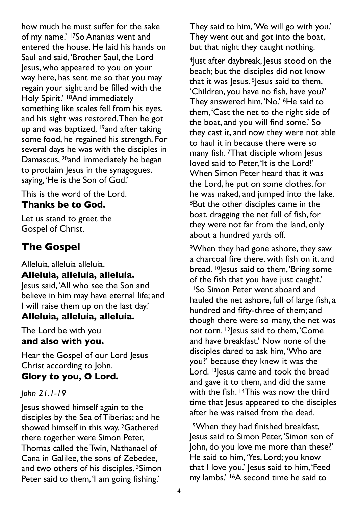how much he must suffer for the sake of my name.' 17So Ananias went and entered the house. He laid his hands on Saul and said, 'Brother Saul, the Lord Jesus, who appeared to you on your way here, has sent me so that you may regain your sight and be filled with the Holy Spirit.' <sup>18</sup>And immediately something like scales fell from his eyes, and his sight was restored. Then he got up and was baptized, <sup>19</sup>and after taking some food, he regained his strength. For several days he was with the disciples in Damascus, <sup>20</sup>and immediately he began to proclaim Jesus in the synagogues, saying, 'He is the Son of God.'

This is the word of the Lord.

## **Thanks be to God.**

Let us stand to greet the Gospel of Christ.

# **The Gospel**

Alleluia, alleluia alleluia. **Alleluia, alleluia, alleluia.** 

Jesus said, 'All who see the Son and believe in him may have eternal life; and I will raise them up on the last day.'

## **Alleluia, alleluia, alleluia.**

The Lord be with you **and also with you.**

Hear the Gospel of our Lord Jesus Christ according to John.

## **Glory to you, O Lord.**

### *John 21.1-19*

Jesus showed himself again to the disciples by the Sea of Tiberias; and he showed himself in this way. 2Gathered there together were Simon Peter, Thomas called the Twin, Nathanael of Cana in Galilee, the sons of Zebedee, and two others of his disciples.<sup>3</sup>Simon Peter said to them, 'I am going fishing.'

They said to him, 'We will go with you.' They went out and got into the boat, but that night they caught nothing.

4Just after daybreak, Jesus stood on the beach; but the disciples did not know that it was  $|e$ sus. <sup>5</sup> $|e$ sus said to them, 'Children, you have no fish, have you?' They answered him, 'No.' 6He said to them, 'Cast the net to the right side of the boat, and you will find some.' So they cast it, and now they were not able to haul it in because there were so many fish. <sup>7</sup>That disciple whom Jesus loved said to Peter, 'It is the Lord!' When Simon Peter heard that it was the Lord, he put on some clothes, for he was naked, and jumped into the lake. 8But the other disciples came in the boat, dragging the net full of fish, for they were not far from the land, only about a hundred yards off.

9When they had gone ashore, they saw a charcoal fire there, with fish on it, and bread. <sup>10</sup>Jesus said to them, 'Bring some of the fish that you have just caught.' 11So Simon Peter went aboard and hauled the net ashore, full of large fish, a hundred and fifty-three of them; and though there were so many, the net was not torn. <sup>12</sup> lesus said to them, 'Come and have breakfast.' Now none of the disciples dared to ask him, 'Who are you?' because they knew it was the Lord. <sup>13</sup> lesus came and took the bread and gave it to them, and did the same with the fish. <sup>14</sup>This was now the third time that lesus appeared to the disciples after he was raised from the dead.

15When they had finished breakfast, Jesus said to Simon Peter, 'Simon son of John, do you love me more than these?' He said to him, 'Yes, Lord; you know that I love you.' Jesus said to him, 'Feed my lambs.' 16A second time he said to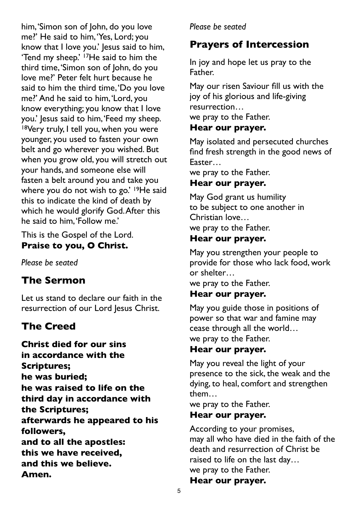him, 'Simon son of John, do you love me?' He said to him, 'Yes, Lord; you know that I love you.' Jesus said to him, 'Tend my sheep.' 17He said to him the third time, 'Simon son of John, do you love me?' Peter felt hurt because he said to him the third time, 'Do you love me?' And he said to him, 'Lord, you know everything; you know that I love you.' Jesus said to him, 'Feed my sheep. 18Very truly, I tell you, when you were younger, you used to fasten your own belt and go wherever you wished. But when you grow old, you will stretch out your hands, and someone else will fasten a belt around you and take you where you do not wish to go.' <sup>19</sup>He said this to indicate the kind of death by which he would glorify God. After this he said to him, 'Follow me.'

This is the Gospel of the Lord. **Praise to you, O Christ.**

*Please be seated* 

# **The Sermon**

Let us stand to declare our faith in the resurrection of our Lord Jesus Christ.

# **The Creed**

**Christ died for our sins in accordance with the Scriptures; he was buried; he was raised to life on the third day in accordance with the Scriptures; afterwards he appeared to his followers, and to all the apostles: this we have received, and this we believe. Amen.**

## *Please be seated*

# **Prayers of Intercession**

In joy and hope let us pray to the Father.

May our risen Saviour fill us with the joy of his glorious and life-giving resurrection… we pray to the Father.

## **Hear our prayer.**

May isolated and persecuted churches find fresh strength in the good news of Easter…

we pray to the Father.

## **Hear our prayer.**

May God grant us humility to be subject to one another in Christian love… we pray to the Father.

## **Hear our prayer.**

May you strengthen your people to provide for those who lack food, work or shelter…

we pray to the Father.

## **Hear our prayer.**

May you guide those in positions of power so that war and famine may cease through all the world… we pray to the Father.

### **Hear our prayer.**

May you reveal the light of your presence to the sick, the weak and the dying, to heal, comfort and strengthen them…

we pray to the Father.

### **Hear our prayer.**

According to your promises, may all who have died in the faith of the death and resurrection of Christ be raised to life on the last day… we pray to the Father. **Hear our prayer.**

#### 5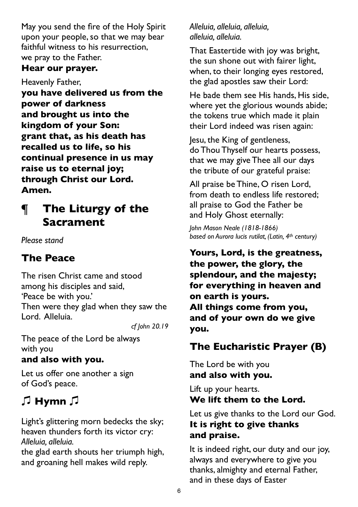May you send the fire of the Holy Spirit upon your people, so that we may bear faithful witness to his resurrection, we pray to the Father.

## **Hear our prayer.**

Heavenly Father,

**you have delivered us from the power of darkness and brought us into the kingdom of your Son: grant that, as his death has recalled us to life, so his continual presence in us may raise us to eternal joy; through Christ our Lord. Amen.**

# **¶ The Liturgy of the Sacrament**

*Please stand* 

# **The Peace**

The risen Christ came and stood among his disciples and said, 'Peace be with you.' Then were they glad when they saw the Lord. Alleluia.

*cf John 20.19*

The peace of the Lord be always with you

## **and also with you.**

Let us offer one another a sign of God's peace.

# 㽈 **Hymn** 㽈

Light's glittering morn bedecks the sky; heaven thunders forth its victor cry: *Alleluia, alleluia.*

the glad earth shouts her triumph high, and groaning hell makes wild reply.

*Alleluia, alleluia, alleluia, alleluia, alleluia.*

That Eastertide with joy was bright, the sun shone out with fairer light, when, to their longing eyes restored, the glad apostles saw their Lord:

He bade them see His hands, His side, where yet the glorious wounds abide; the tokens true which made it plain their Lord indeed was risen again:

Jesu, the King of gentleness, do Thou Thyself our hearts possess, that we may give Thee all our days the tribute of our grateful praise:

All praise be Thine, O risen Lord, from death to endless life restored; all praise to God the Father be and Holy Ghost eternally:

*John Mason Neale (1818-1866) based on Aurora lucis rutilat, (Latin, 4th century)*

**Yours, Lord, is the greatness, the power, the glory, the splendour, and the majesty; for everything in heaven and on earth is yours. All things come from you, and of your own do we give you.**

# **The Eucharistic Prayer (B)**

The Lord be with you **and also with you.**

Lift up your hearts. **We lift them to the Lord.**

Let us give thanks to the Lord our God. **It is right to give thanks and praise.**

It is indeed right, our duty and our joy, always and everywhere to give you thanks, almighty and eternal Father, and in these days of Easter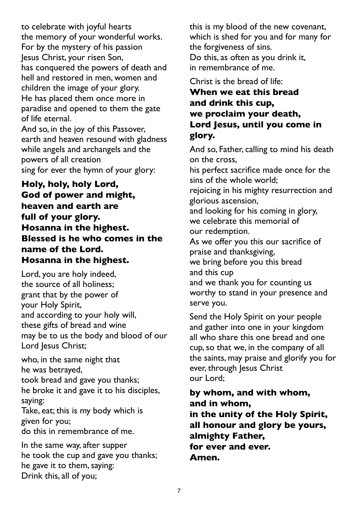to celebrate with joyful hearts the memory of your wonderful works. For by the mystery of his passion Jesus Christ, your risen Son, has conquered the powers of death and hell and restored in men, women and children the image of your glory. He has placed them once more in paradise and opened to them the gate of life eternal.

And so, in the joy of this Passover, earth and heaven resound with gladness while angels and archangels and the powers of all creation sing for ever the hymn of your glory:

**Holy, holy, holy Lord, God of power and might, heaven and earth are full of your glory. Hosanna in the highest. Blessed is he who comes in the name of the Lord. Hosanna in the highest.**

Lord, you are holy indeed, the source of all holiness; grant that by the power of your Holy Spirit, and according to your holy will, these gifts of bread and wine may be to us the body and blood of our Lord Jesus Christ;

who, in the same night that he was betrayed, took bread and gave you thanks;

he broke it and gave it to his disciples, saying:

Take, eat; this is my body which is given for you;

do this in remembrance of me.

In the same way, after supper he took the cup and gave you thanks; he gave it to them, saying: Drink this, all of you;

this is my blood of the new covenant, which is shed for you and for many for the forgiveness of sins. Do this, as often as you drink it, in remembrance of me.

Christ is the bread of life:

## **When we eat this bread and drink this cup, we proclaim your death, Lord Jesus, until you come in glory.**

And so, Father, calling to mind his death on the cross,

his perfect sacrifice made once for the sins of the whole world;

rejoicing in his mighty resurrection and glorious ascension,

and looking for his coming in glory, we celebrate this memorial of our redemption.

As we offer you this our sacrifice of praise and thanksgiving,

we bring before you this bread and this cup

and we thank you for counting us worthy to stand in your presence and serve you.

Send the Holy Spirit on your people and gather into one in your kingdom all who share this one bread and one cup, so that we, in the company of all the saints, may praise and glorify you for ever, through Jesus Christ our Lord;

**by whom, and with whom, and in whom, in the unity of the Holy Spirit, all honour and glory be yours, almighty Father, for ever and ever. Amen.**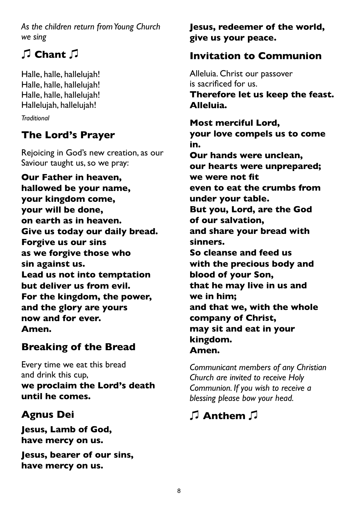*As the children return from Young Church we sing*

# 㽈 **Chant** 㽈

Halle, halle, hallelujah! Halle, halle, hallelujah! Halle, halle, hallelujah! Hallelujah, hallelujah!

*Traditional*

# **The Lord's Prayer**

Rejoicing in God's new creation, as our Saviour taught us, so we pray:

**Our Father in heaven, hallowed be your name, your kingdom come, your will be done, on earth as in heaven. Give us today our daily bread. Forgive us our sins as we forgive those who sin against us. Lead us not into temptation but deliver us from evil. For the kingdom, the power, and the glory are yours now and for ever. Amen.** 

# **Breaking of the Bread**

Every time we eat this bread and drink this cup, **we proclaim the Lord's death until he comes.**

# **Agnus Dei**

**Jesus, Lamb of God, have mercy on us.**

**Jesus, bearer of our sins, have mercy on us.**

**Jesus, redeemer of the world, give us your peace.**

# **Invitation to Communion**

Alleluia. Christ our passover is sacrificed for us. **Therefore let us keep the feast. Alleluia.**

**Most merciful Lord, your love compels us to come in. Our hands were unclean, our hearts were unprepared; we were not fit even to eat the crumbs from under your table. But you, Lord, are the God of our salvation, and share your bread with sinners. So cleanse and feed us with the precious body and blood of your Son, that he may live in us and we in him; and that we, with the whole company of Christ, may sit and eat in your kingdom. Amen.**

*Communicant members of any Christian Church are invited to receive Holy Communion. If you wish to receive a blessing please bow your head.*

# 㽈 **Anthem** 㽈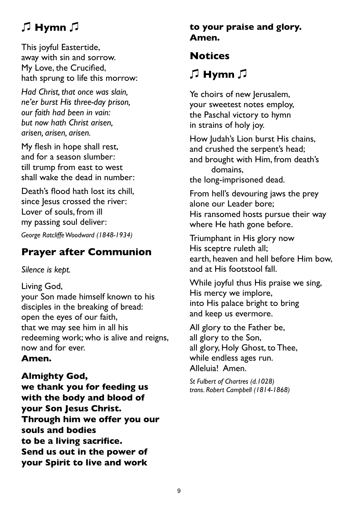# 㽈 **Hymn** 㽈

This joyful Eastertide, away with sin and sorrow. My Love, the Crucified, hath sprung to life this morrow:

*Had Christ, that once was slain, ne'er burst His three-day prison, our faith had been in vain: but now hath Christ arisen, arisen, arisen, arisen.*

My flesh in hope shall rest, and for a season slumber: till trump from east to west shall wake the dead in number:

Death's flood hath lost its chill, since Jesus crossed the river: Lover of souls, from ill my passing soul deliver:

*George Ratcliffe Woodward (1848-1934)*

# **Prayer after Communion**

*Silence is kept.*

Living God, your Son made himself known to his disciples in the breaking of bread: open the eyes of our faith, that we may see him in all his redeeming work; who is alive and reigns, now and for ever.

## **Amen.**

## **Almighty God,**

**we thank you for feeding us with the body and blood of your Son Jesus Christ. Through him we offer you our souls and bodies to be a living sacrifice. Send us out in the power of your Spirit to live and work**

## **to your praise and glory. Amen.**

# **Notices**

# 㽈 **Hymn** 㽈

Ye choirs of new Jerusalem, your sweetest notes employ, the Paschal victory to hymn in strains of holy joy.

How Judah's Lion burst His chains, and crushed the serpent's head; and brought with Him, from death's domains,

the long-imprisoned dead.

From hell's devouring jaws the prey alone our Leader bore; His ransomed hosts pursue their way where He hath gone before.

Triumphant in His glory now His sceptre ruleth all; earth, heaven and hell before Him bow, and at His footstool fall.

While joyful thus His praise we sing, His mercy we implore, into His palace bright to bring and keep us evermore.

All glory to the Father be, all glory to the Son, all glory, Holy Ghost, to Thee, while endless ages run. Alleluia! Amen.

*St Fulbert of Chartres (d.1028) trans. Robert Campbell (1814-1868)*